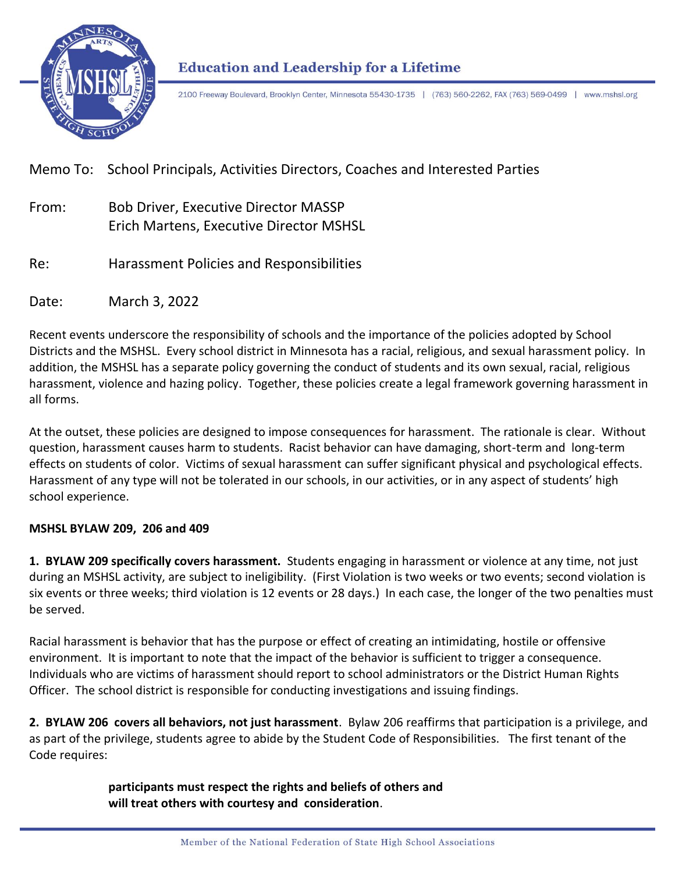

# **Education and Leadership for a Lifetime**

2100 Freeway Boulevard, Brooklyn Center, Minnesota 55430-1735 | (763) 560-2262, FAX (763) 569-0499 | www.mshsl.org

## Memo To: School Principals, Activities Directors, Coaches and Interested Parties

- From: Bob Driver, Executive Director MASSP Erich Martens, Executive Director MSHSL
- Re: Harassment Policies and Responsibilities

Date: March 3, 2022

Recent events underscore the responsibility of schools and the importance of the policies adopted by School Districts and the MSHSL. Every school district in Minnesota has a racial, religious, and sexual harassment policy. In addition, the MSHSL has a separate policy governing the conduct of students and its own sexual, racial, religious harassment, violence and hazing policy. Together, these policies create a legal framework governing harassment in all forms.

At the outset, these policies are designed to impose consequences for harassment. The rationale is clear. Without question, harassment causes harm to students. Racist behavior can have damaging, short-term and long-term effects on students of color. Victims of sexual harassment can suffer significant physical and psychological effects. Harassment of any type will not be tolerated in our schools, in our activities, or in any aspect of students' high school experience.

#### **MSHSL BYLAW 209, 206 and 409**

**1. BYLAW 209 specifically covers harassment.** Students engaging in harassment or violence at any time, not just during an MSHSL activity, are subject to ineligibility. (First Violation is two weeks or two events; second violation is six events or three weeks; third violation is 12 events or 28 days.) In each case, the longer of the two penalties must be served.

Racial harassment is behavior that has the purpose or effect of creating an intimidating, hostile or offensive environment. It is important to note that the impact of the behavior is sufficient to trigger a consequence. Individuals who are victims of harassment should report to school administrators or the District Human Rights Officer. The school district is responsible for conducting investigations and issuing findings.

**2. BYLAW 206 covers all behaviors, not just harassment**. Bylaw 206 reaffirms that participation is a privilege, and as part of the privilege, students agree to abide by the Student Code of Responsibilities. The first tenant of the Code requires:

> **participants must respect the rights and beliefs of others and will treat others with courtesy and consideration**.